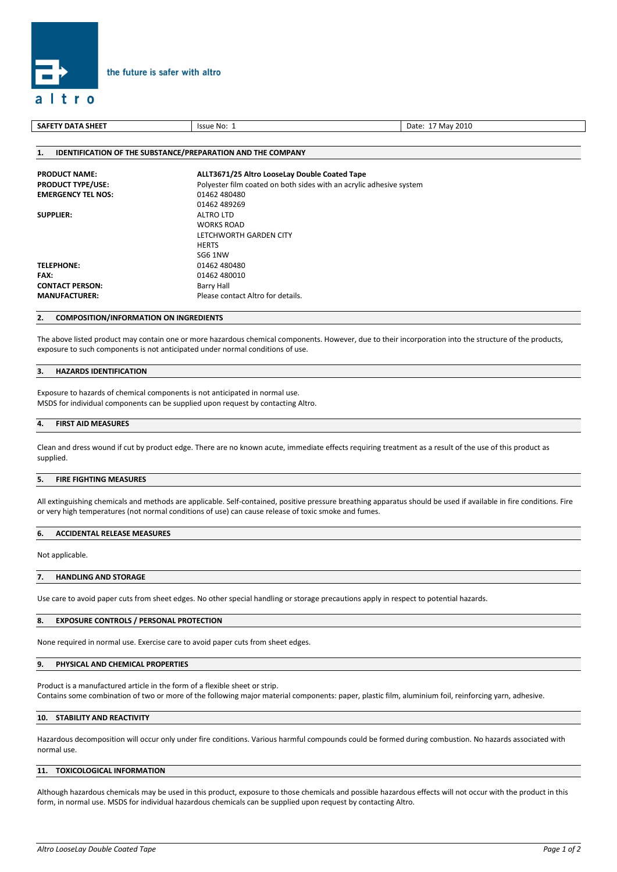

| SAFETY DATA SHEET                                                  | Issue No: 1                                                         | Date: 17 May 2010 |  |
|--------------------------------------------------------------------|---------------------------------------------------------------------|-------------------|--|
|                                                                    |                                                                     |                   |  |
| <b>IDENTIFICATION OF THE SUBSTANCE/PREPARATION AND THE COMPANY</b> |                                                                     |                   |  |
| <b>PRODUCT NAME:</b>                                               | ALLT3671/25 Altro LooseLay Double Coated Tape                       |                   |  |
| <b>PRODUCT TYPE/USE:</b>                                           | Polyester film coated on both sides with an acrylic adhesive system |                   |  |
| <b>EMERGENCY TEL NOS:</b>                                          | 01462 480480                                                        |                   |  |
|                                                                    | 01152190260                                                         |                   |  |

# 01462 489269 **SUPPLIER:** ALTRO LTD WORKS ROAD LETCHWORTH GARDEN CITY **HERTS** SG6 1NW **TELEPHONE:** 01462 480480

# **2. COMPOSITION/INFORMATION ON INGREDIENTS**

**FAX:** 01462 480010 **CONTACT PERSON:** Barry Hall

The above listed product may contain one or more hazardous chemical components. However, due to their incorporation into the structure of the products, exposure to such components is not anticipated under normal conditions of use.

## **3. HAZARDS IDENTIFICATION**

Exposure to hazards of chemical components is not anticipated in normal use. MSDS for individual components can be supplied upon request by contacting Altro.

**MANUFACTURER:** Please contact Altro for details.

## **4. FIRST AID MEASURES**

Clean and dress wound if cut by product edge. There are no known acute, immediate effects requiring treatment as a result of the use of this product as supplied.

## **5. FIRE FIGHTING MEASURES**

All extinguishing chemicals and methods are applicable. Self-contained, positive pressure breathing apparatus should be used if available in fire conditions. Fire or very high temperatures (not normal conditions of use) can cause release of toxic smoke and fumes.

# **6. ACCIDENTAL RELEASE MEASURES**

Not applicable.

### **7. HANDLING AND STORAGE**

Use care to avoid paper cuts from sheet edges. No other special handling or storage precautions apply in respect to potential hazards.

### **8. EXPOSURE CONTROLS / PERSONAL PROTECTION**

None required in normal use. Exercise care to avoid paper cuts from sheet edges.

# **9. PHYSICAL AND CHEMICAL PROPERTIES**

Product is a manufactured article in the form of a flexible sheet or strip.

Contains some combination of two or more of the following major material components: paper, plastic film, aluminium foil, reinforcing yarn, adhesive.

# **10. STABILITY AND REACTIVITY**

Hazardous decomposition will occur only under fire conditions. Various harmful compounds could be formed during combustion. No hazards associated with normal use.

# **11. TOXICOLOGICAL INFORMATION**

Although hazardous chemicals may be used in this product, exposure to those chemicals and possible hazardous effects will not occur with the product in this form, in normal use. MSDS for individual hazardous chemicals can be supplied upon request by contacting Altro.